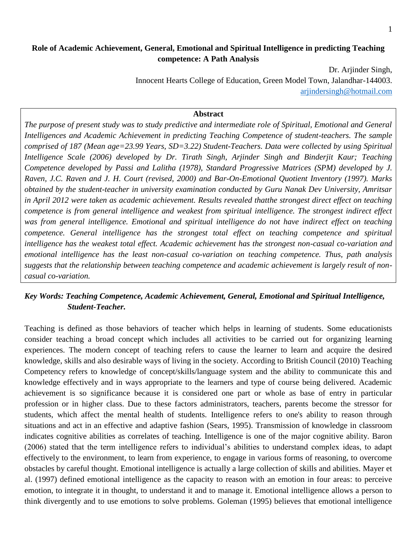## **Role of Academic Achievement, General, Emotional and Spiritual Intelligence in predicting Teaching competence: A Path Analysis**

Dr. Arjinder Singh, Innocent Hearts College of Education, Green Model Town, Jalandhar-144003. [arjindersingh@hotmail.com](mailto:arjindersingh@hotmail.com)

#### **Abstract**

*The purpose of present study was to study predictive and intermediate role of Spiritual, Emotional and General Intelligences and Academic Achievement in predicting Teaching Competence of student-teachers. The sample comprised of 187 (Mean age=23.99 Years, SD=3.22) Student-Teachers. Data were collected by using Spiritual Intelligence Scale (2006) developed by Dr. Tirath Singh, Arjinder Singh and Binderjit Kaur; Teaching Competence developed by Passi and Lalitha (1978), Standard Progressive Matrices (SPM) developed by J. Raven, J.C. Raven and J. H. Court (revised, 2000) and Bar-On-Emotional Quotient Inventory (1997). Marks obtained by the student-teacher in university examination conducted by Guru Nanak Dev University, Amritsar in April 2012 were taken as academic achievement. Results revealed thatthe strongest direct effect on teaching competence is from general intelligence and weakest from spiritual intelligence. The strongest indirect effect was from general intelligence. Emotional and spiritual intelligence do not have indirect effect on teaching competence. General intelligence has the strongest total effect on teaching competence and spiritual intelligence has the weakest total effect. Academic achievement has the strongest non-casual co-variation and emotional intelligence has the least non-casual co-variation on teaching competence. Thus, path analysis suggests that the relationship between teaching competence and academic achievement is largely result of noncasual co-variation.*

## *Key Words: Teaching Competence, Academic Achievement, General, Emotional and Spiritual Intelligence, Student-Teacher.*

Teaching is defined as those behaviors of teacher which helps in learning of students. Some educationists consider teaching a broad concept which includes all activities to be carried out for organizing learning experiences. The modern concept of teaching refers to cause the learner to learn and acquire the desired knowledge, skills and also desirable ways of living in the society. According to British Council (2010) Teaching Competency refers to knowledge of concept/skills/language system and the ability to communicate this and knowledge effectively and in ways appropriate to the learners and type of course being delivered. Academic achievement is so significance because it is considered one part or whole as base of entry in particular profession or in higher class. Due to these factors administrators, teachers, parents become the stressor for students, which affect the mental health of students. Intelligence refers to one's ability to reason through situations and act in an effective and adaptive fashion (Sears, 1995). Transmission of knowledge in classroom indicates cognitive abilities as correlates of teaching. Intelligence is one of the major cognitive ability. Baron (2006) stated that the term intelligence refers to individual's abilities to understand complex ideas, to adapt effectively to the environment, to learn from experience, to engage in various forms of reasoning, to overcome obstacles by careful thought. Emotional intelligence is actually a large collection of skills and abilities. Mayer et al. (1997) defined emotional intelligence as the capacity to reason with an emotion in four areas: to perceive emotion, to integrate it in thought, to understand it and to manage it. Emotional intelligence allows a person to think divergently and to use emotions to solve problems. Goleman (1995) believes that emotional intelligence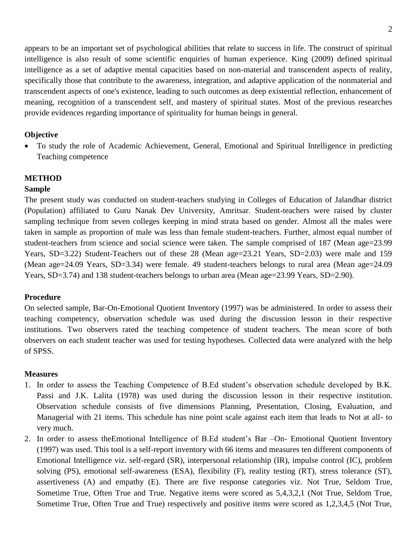appears to be an important set of psychological abilities that relate to success in life. The construct of spiritual intelligence is also result of some scientific enquiries of human experience. King (2009) defined spiritual intelligence as a set of adaptive mental capacities based on non-material and transcendent aspects of reality, specifically those that contribute to the awareness, integration, and adaptive application of the nonmaterial and transcendent aspects of one's existence, leading to such outcomes as deep existential reflection, enhancement of meaning, recognition of a transcendent self, and mastery of spiritual states. Most of the previous researches provide evidences regarding importance of spirituality for human beings in general.

## **Objective**

 To study the role of Academic Achievement, General, Emotional and Spiritual Intelligence in predicting Teaching competence

# **METHOD**

## **Sample**

The present study was conducted on student-teachers studying in Colleges of Education of Jalandhar district (Population) affiliated to Guru Nanak Dev University, Amritsar. Student-teachers were raised by cluster sampling technique from seven colleges keeping in mind strata based on gender. Almost all the males were taken in sample as proportion of male was less than female student-teachers. Further, almost equal number of student-teachers from science and social science were taken. The sample comprised of 187 (Mean age=23.99) Years, SD=3.22) Student-Teachers out of these 28 (Mean age=23.21 Years, SD=2.03) were male and 159 (Mean age=24.09 Years, SD=3.34) were female. 49 student-teachers belongs to rural area (Mean age=24.09 Years, SD=3.74) and 138 student-teachers belongs to urban area (Mean age=23.99 Years, SD=2.90).

# **Procedure**

On selected sample, Bar-On-Emotional Quotient Inventory (1997) was be administered. In order to assess their teaching competency, observation schedule was used during the discussion lesson in their respective institutions. Two observers rated the teaching competence of student teachers. The mean score of both observers on each student teacher was used for testing hypotheses. Collected data were analyzed with the help of SPSS.

# **Measures**

- 1. In order to assess the Teaching Competence of B.Ed student's observation schedule developed by B.K. Passi and J.K. Lalita (1978) was used during the discussion lesson in their respective institution. Observation schedule consists of five dimensions Planning, Presentation, Closing, Evaluation, and Managerial with 21 items. This schedule has nine point scale against each item that leads to Not at all- to very much.
- 2. In order to assess theEmotional Intelligence of B.Ed student's Bar –On- Emotional Quotient Inventory (1997) was used. This tool is a self-report inventory with 66 items and measures ten different components of Emotional Intelligence viz. self-regard (SR), interpersonal relationship (IR), impulse control (IC), problem solving (PS), emotional self-awareness (ESA), flexibility (F), reality testing (RT), stress tolerance (ST), assertiveness (A) and empathy (E). There are five response categories viz. Not True, Seldom True, Sometime True, Often True and True. Negative items were scored as 5,4,3,2,1 (Not True, Seldom True, Sometime True, Often True and True) respectively and positive items were scored as 1,2,3,4,5 (Not True,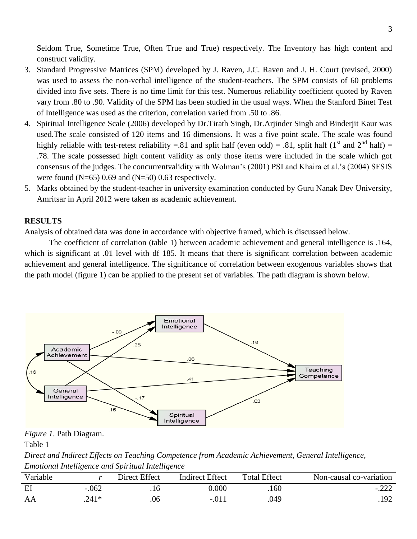Seldom True, Sometime True, Often True and True) respectively. The Inventory has high content and construct validity.

- 3. Standard Progressive Matrices (SPM) developed by J. Raven, J.C. Raven and J. H. Court (revised, 2000) was used to assess the non-verbal intelligence of the student-teachers. The SPM consists of 60 problems divided into five sets. There is no time limit for this test. Numerous reliability coefficient quoted by Raven vary from .80 to .90. Validity of the SPM has been studied in the usual ways. When the Stanford Binet Test of Intelligence was used as the criterion, correlation varied from .50 to .86.
- 4. Spiritual Intelligence Scale (2006) developed by Dr.Tirath Singh, Dr.Arjinder Singh and Binderjit Kaur was used*.*The scale consisted of 120 items and 16 dimensions. It was a five point scale. The scale was found highly reliable with test-retest reliability =.81 and split half (even odd) = .81, split half (1<sup>st</sup> and  $2^{nd}$  half) = .78. The scale possessed high content validity as only those items were included in the scale which got consensus of the judges. The concurrentvalidity with Wolman's (2001) PSI and Khaira et al.'s (2004) SFSIS were found  $(N=65)$  0.69 and  $(N=50)$  0.63 respectively.
- 5. Marks obtained by the student-teacher in university examination conducted by Guru Nanak Dev University, Amritsar in April 2012 were taken as academic achievement.

#### **RESULTS**

Analysis of obtained data was done in accordance with objective framed, which is discussed below.

The coefficient of correlation (table 1) between academic achievement and general intelligence is .164, which is significant at .01 level with df 185. It means that there is significant correlation between academic achievement and general intelligence. The significance of correlation between exogenous variables shows that the path model (figure 1) can be applied to the present set of variables. The path diagram is shown below.



*Figure 1*. Path Diagram.

Table 1

*Direct and Indirect Effects on Teaching Competence from Academic Achievement, General Intelligence, Emotional Intelligence and Spiritual Intelligence*

| Variable |         | Direct Effect | <b>Indirect Effect</b> | <b>Total Effect</b> | Non-causal co-variation |
|----------|---------|---------------|------------------------|---------------------|-------------------------|
| EI       | $-.062$ |               | 0.000                  | 160                 | $-.222$                 |
| AA       | $.241*$ | .06           | $-.01$                 | .049                | .192                    |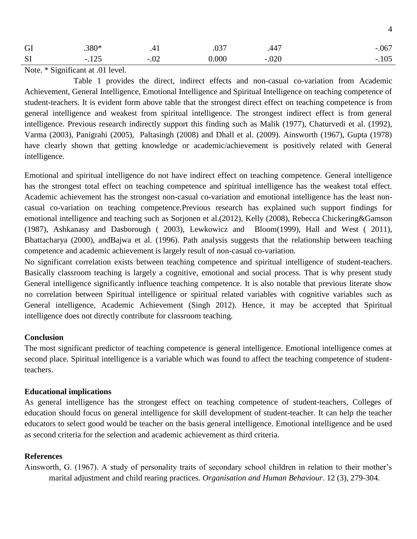| GI        | $.380*$ | $\cdots$ | $\overline{0}$<br>.U3 | .44.        | $-.067$     |
|-----------|---------|----------|-----------------------|-------------|-------------|
| <b>SI</b> | $-.12.$ | $-0.04$  | 0.000                 | ∩∩∩<br>.∪∠∪ | ۱∩<<br>.1UJ |

Note. \* Significant at .01 level.

Table 1 provides the direct, indirect effects and non-casual co-variation from Academic Achievement, General Intelligence, Emotional Intelligence and Spiritual Intelligence on teaching competence of student-teachers. It is evident form above table that the strongest direct effect on teaching competence is from general intelligence and weakest from spiritual intelligence. The strongest indirect effect is from general intelligence. Previous research indirectly support this finding such as Malik (1977), Chaturvedi et al. (1992), Varma (2003), Panigrahi (2005), Paltasingh (2008) and Dhall et al. (2009). Ainsworth (1967), Gupta (1978) have clearly shown that getting knowledge or academic/achievement is positively related with General intelligence.

Emotional and spiritual intelligence do not have indirect effect on teaching competence. General intelligence has the strongest total effect on teaching competence and spiritual intelligence has the weakest total effect. Academic achievement has the strongest non-casual co-variation and emotional intelligence has the least noncasual co-variation on teaching competence.Previous research has explained such support findings for emotional intelligence and teaching such as Sorjonen et al.(2012), Kelly (2008), Rebecca Chickering&Gamson (1987), [Ashkanasy](http://www.eric.ed.gov/ERICWebPortal/search/simpleSearch.jsp?_pageLabel=ERICSearchResult&_urlType=action&newSearch=true&ERICExtSearch_SearchType_0=au&ERICExtSearch_SearchValue_0=%22Ashkanasy+Neal+M.%22) and [Dasborough](http://www.eric.ed.gov/ERICWebPortal/search/simpleSearch.jsp?_pageLabel=ERICSearchResult&_urlType=action&newSearch=true&ERICExtSearch_SearchType_0=au&ERICExtSearch_SearchValue_0=%22Dasborough+Marie+T.%22) ( 2003), [Lewkowicz and Bloom\(](http://www.eric.ed.gov/ERICWebPortal/search/simpleSearch.jsp?_pageLabel=ERICSearchResult&_urlType=action&newSearch=true&ERICExtSearch_SearchType_0=au&ERICExtSearch_SearchValue_0=%22Lewkowicz+Adina+Bloom%22)1999), [Hall](http://www.eric.ed.gov/ERICWebPortal/search/simpleSearch.jsp?_pageLabel=ERICSearchResult&_urlType=action&newSearch=true&ERICExtSearch_SearchType_0=au&ERICExtSearch_SearchValue_0=%22Hall+P.+Cougar%22) and [West](http://www.eric.ed.gov/ERICWebPortal/search/simpleSearch.jsp?_pageLabel=ERICSearchResult&_urlType=action&newSearch=true&ERICExtSearch_SearchType_0=au&ERICExtSearch_SearchValue_0=%22West+Joshua+H.%22) ( 2011), Bhattacharya (2000), andBajwa et al. (1996). Path analysis suggests that the relationship between teaching competence and academic achievement is largely result of non-casual co-variation.

No significant correlation exists between teaching competence and spiritual intelligence of student-teachers. Basically classroom teaching is largely a cognitive, emotional and social process. That is why present study General intelligence significantly influence teaching competence. It is also notable that previous literate show no correlation between Spiritual intelligence or spiritual related variables with cognitive variables such as General intelligence, Academic Achievement (Singh 2012). Hence, it may be accepted that Spiritual intelligence does not directly contribute for classroom teaching.

## **Conclusion**

The most significant predictor of teaching competence is general intelligence. Emotional intelligence comes at second place. Spiritual intelligence is a variable which was found to affect the teaching competence of studentteachers.

#### **Educational implications**

As general intelligence has the strongest effect on teaching competence of student-teachers, Colleges of education should focus on general intelligence for skill development of student-teacher. It can help the teacher educators to select good would be teacher on the basis general intelligence. Emotional intelligence and be used as second criteria for the selection and academic achievement as third criteria.

#### **References**

Ainsworth, G. (1967). A study of personality traits of secondary school children in relation to their mother's marital adjustment and child rearing practices. *Organisation and Human Behaviour*. 12 (3), 279-304.